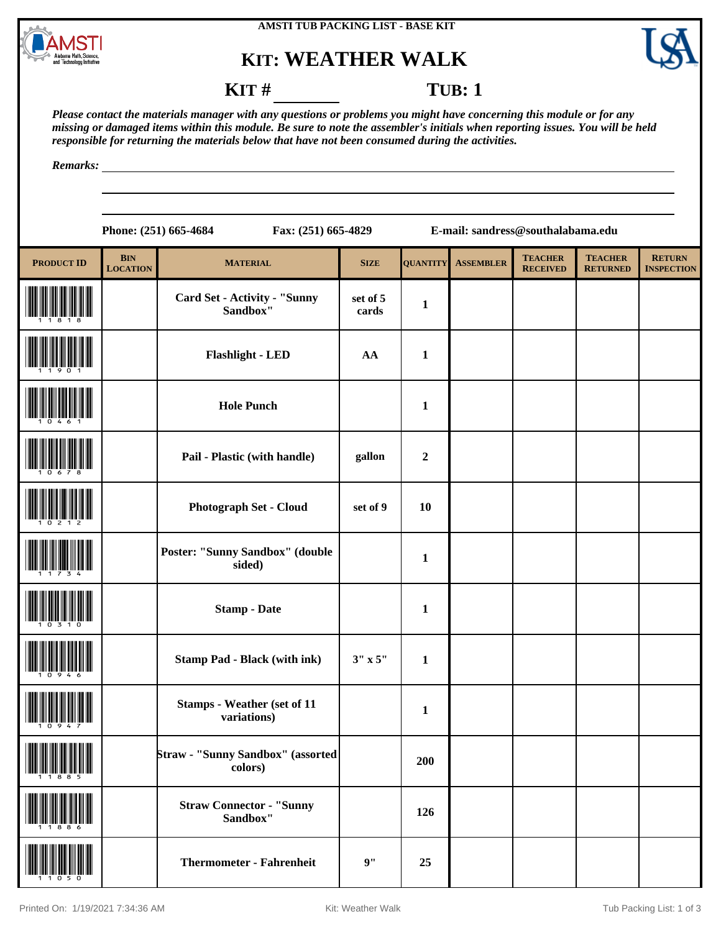

## **KIT: WEATHER WALK**



**RETURN INSPECTION**

## **KIT** # **TUB**: 1

**TEACHER RETURNED**

*Please contact the materials manager with any questions or problems you might have concerning this module or for any missing or damaged items within this module. Be sure to note the assembler's initials when reporting issues. You will be held responsible for returning the materials below that have not been consumed during the activities.*

*Remarks:*

|                   |                               | Phone: (251) 665-4684<br>Fax: (251) 665-4829    |                   |                 |                  | E-mail: sandress@southalabama.edu |                                |
|-------------------|-------------------------------|-------------------------------------------------|-------------------|-----------------|------------------|-----------------------------------|--------------------------------|
| <b>PRODUCT ID</b> | <b>BIN</b><br><b>LOCATION</b> | <b>MATERIAL</b>                                 | <b>SIZE</b>       | <b>QUANTITY</b> | <b>ASSEMBLER</b> | <b>TEACHER</b><br><b>RECEIVED</b> | <b>TEACHE</b><br><b>RETURN</b> |
| 1 1 8 1 8         |                               | <b>Card Set - Activity - "Sunny</b><br>Sandbox" | set of 5<br>cards | 1               |                  |                                   |                                |
|                   |                               | <b>Flashlight - LED</b>                         | AA                | 1               |                  |                                   |                                |
|                   |                               | <b>Hole Punch</b>                               |                   | 1               |                  |                                   |                                |
|                   |                               |                                                 |                   |                 |                  |                                   |                                |

| $\frac{1}{2}$ | riasingin - LED                                   | AA             | $\mathbf{r}$ |  |  |
|---------------|---------------------------------------------------|----------------|--------------|--|--|
|               | <b>Hole Punch</b>                                 |                | $\mathbf{1}$ |  |  |
|               | Pail - Plastic (with handle)                      | gallon         | $\mathbf 2$  |  |  |
|               | Photograph Set - Cloud                            | set of 9       | 10           |  |  |
|               | Poster: "Sunny Sandbox" (double<br>sided)         |                | $\mathbf{1}$ |  |  |
|               | <b>Stamp - Date</b>                               |                | $\mathbf{1}$ |  |  |
|               | <b>Stamp Pad - Black (with ink)</b>               | $3" \times 5"$ | $\mathbf{1}$ |  |  |
|               | <b>Stamps - Weather (set of 11</b><br>variations) |                | $\mathbf{1}$ |  |  |
|               | Straw - "Sunny Sandbox" (assorted<br>colors)      |                | 200          |  |  |
|               | <b>Straw Connector - "Sunny</b><br>Sandbox"       |                | 126          |  |  |
|               | <b>Thermometer - Fahrenheit</b>                   | 9"             | 25           |  |  |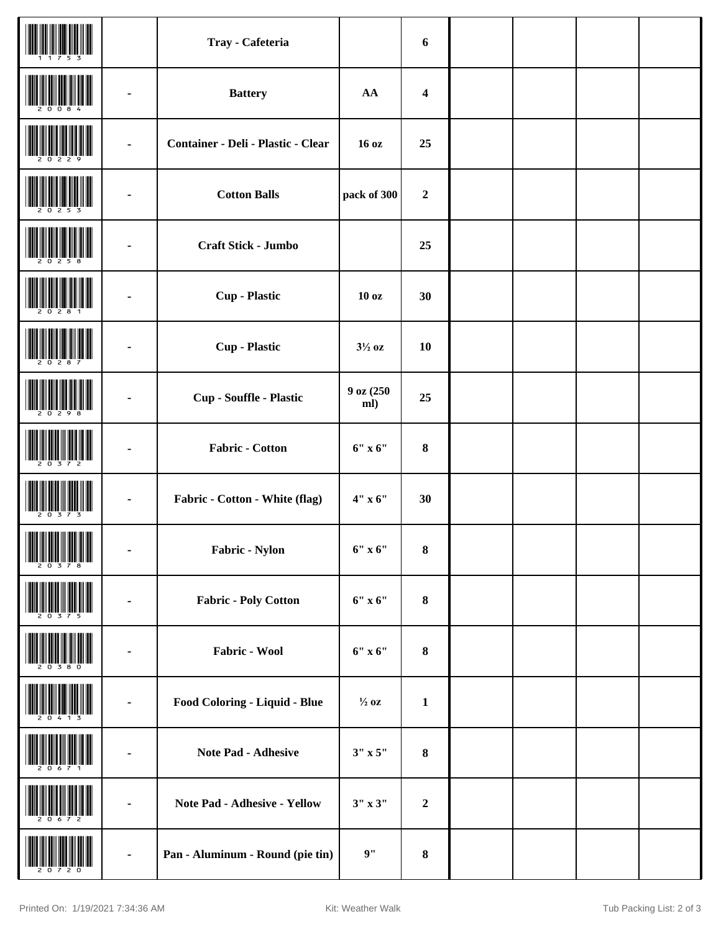|                                                |                | Tray - Cafeteria                          |                   | 6                |  |  |
|------------------------------------------------|----------------|-------------------------------------------|-------------------|------------------|--|--|
|                                                |                | <b>Battery</b>                            | ${\bf AA}$        | $\boldsymbol{4}$ |  |  |
|                                                | $\blacksquare$ | <b>Container - Deli - Plastic - Clear</b> | 16 oz             | 25               |  |  |
|                                                |                | <b>Cotton Balls</b>                       | pack of 300       | $\boldsymbol{2}$ |  |  |
|                                                |                | Craft Stick - Jumbo                       |                   | 25               |  |  |
|                                                |                | <b>Cup</b> - Plastic                      | 10 <sub>oz</sub>  | 30               |  |  |
|                                                |                | <b>Cup</b> - Plastic                      | $3\frac{1}{2}$ oz | 10               |  |  |
|                                                |                | Cup - Souffle - Plastic                   | 9 oz (250<br>ml)  | 25               |  |  |
|                                                | $\blacksquare$ | Fabric - Cotton                           | $6"$ x $6"$       | ${\bf 8}$        |  |  |
|                                                |                | Fabric - Cotton - White (flag)            | $4"$ x 6"         | 30               |  |  |
| <b>THE REAL PROPERTY OF A STATE OF A STATE</b> |                | Fabric - Nylon                            | $6"$ x $6"$       | $\pmb{8}$        |  |  |
|                                                |                | <b>Fabric - Poly Cotton</b>               | $6"$ x $6"$       | $\bf 8$          |  |  |
|                                                |                | Fabric - Wool                             | $6"$ x $6"$       | $\bf{8}$         |  |  |
|                                                | $\blacksquare$ | Food Coloring - Liquid - Blue             | $\frac{1}{2}$ oz  | $\mathbf{1}$     |  |  |
|                                                |                | Note Pad - Adhesive                       | $3'' \times 5''$  | ${\bf 8}$        |  |  |
|                                                |                | Note Pad - Adhesive - Yellow              | $3''$ x $3''$     | $\boldsymbol{2}$ |  |  |
|                                                |                | Pan - Aluminum - Round (pie tin)          | 9"                | 8                |  |  |